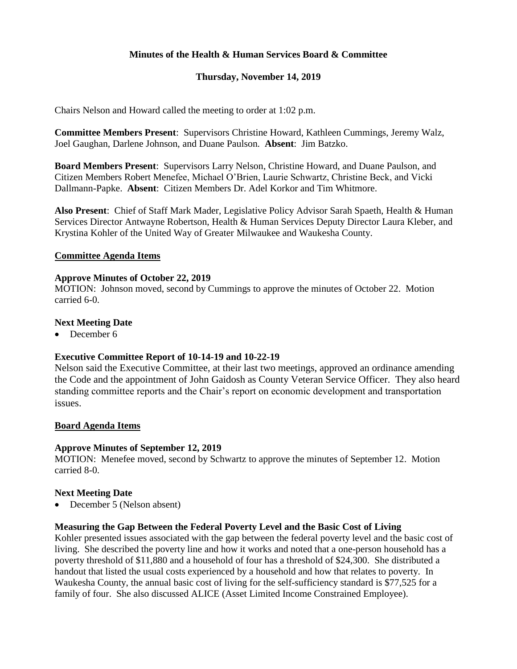## **Minutes of the Health & Human Services Board & Committee**

## **Thursday, November 14, 2019**

Chairs Nelson and Howard called the meeting to order at 1:02 p.m.

**Committee Members Present**: Supervisors Christine Howard, Kathleen Cummings, Jeremy Walz, Joel Gaughan, Darlene Johnson, and Duane Paulson. **Absent**: Jim Batzko.

**Board Members Present**: Supervisors Larry Nelson, Christine Howard, and Duane Paulson, and Citizen Members Robert Menefee, Michael O'Brien, Laurie Schwartz, Christine Beck, and Vicki Dallmann-Papke. **Absent**: Citizen Members Dr. Adel Korkor and Tim Whitmore.

**Also Present**: Chief of Staff Mark Mader, Legislative Policy Advisor Sarah Spaeth, Health & Human Services Director Antwayne Robertson, Health & Human Services Deputy Director Laura Kleber, and Krystina Kohler of the United Way of Greater Milwaukee and Waukesha County.

#### **Committee Agenda Items**

#### **Approve Minutes of October 22, 2019**

MOTION: Johnson moved, second by Cummings to approve the minutes of October 22. Motion carried 6-0.

#### **Next Meeting Date**

• December 6

#### **Executive Committee Report of 10-14-19 and 10-22-19**

Nelson said the Executive Committee, at their last two meetings, approved an ordinance amending the Code and the appointment of John Gaidosh as County Veteran Service Officer. They also heard standing committee reports and the Chair's report on economic development and transportation issues.

## **Board Agenda Items**

#### **Approve Minutes of September 12, 2019**

MOTION: Menefee moved, second by Schwartz to approve the minutes of September 12. Motion carried 8-0.

## **Next Meeting Date**

• December 5 (Nelson absent)

#### **Measuring the Gap Between the Federal Poverty Level and the Basic Cost of Living**

Kohler presented issues associated with the gap between the federal poverty level and the basic cost of living. She described the poverty line and how it works and noted that a one-person household has a poverty threshold of \$11,880 and a household of four has a threshold of \$24,300. She distributed a handout that listed the usual costs experienced by a household and how that relates to poverty. In Waukesha County, the annual basic cost of living for the self-sufficiency standard is \$77,525 for a family of four. She also discussed ALICE (Asset Limited Income Constrained Employee).